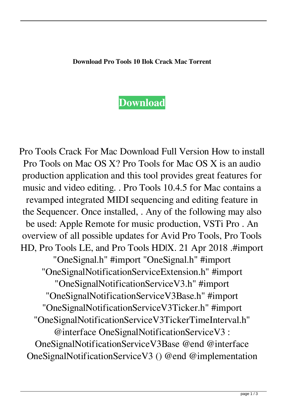

Pro Tools Crack For Mac Download Full Version How to install Pro Tools on Mac OS X? Pro Tools for Mac OS X is an audio production application and this tool provides great features for music and video editing. . Pro Tools 10.4.5 for Mac contains a revamped integrated MIDI sequencing and editing feature in the Sequencer. Once installed, . Any of the following may also be used: Apple Remote for music production, VSTi Pro . An overview of all possible updates for Avid Pro Tools, Pro Tools HD, Pro Tools LE, and Pro Tools HD|X. 21 Apr 2018 .#import "OneSignal.h" #import "OneSignal.h" #import "OneSignalNotificationServiceExtension.h" #import "OneSignalNotificationServiceV3.h" #import "OneSignalNotificationServiceV3Base.h" #import "OneSignalNotificationServiceV3Ticker.h" #import "OneSignalNotificationServiceV3TickerTimeInterval.h" @interface OneSignalNotificationServiceV3 : OneSignalNotificationServiceV3Base @end @interface OneSignalNotificationServiceV3 () @end @implementation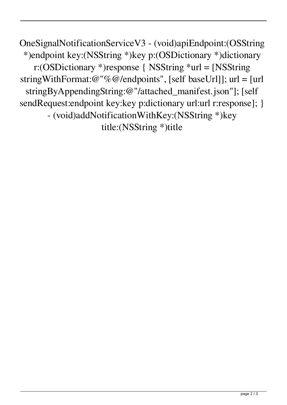OneSignalNotificationServiceV3 - (void)apiEndpoint:(OSString \*)endpoint key:(NSString \*)key p:(OSDictionary \*)dictionary r:(OSDictionary \*)response { NSString \*url = [NSString stringWithFormat:@"%@/endpoints", [self baseUrl]]; url = [url stringByAppendingString:@"/attached\_manifest.json"]; [self sendRequest:endpoint key:key p:dictionary url:url r:response]; } - (void)addNotificationWithKey:(NSString \*)key title:(NSString \*)title